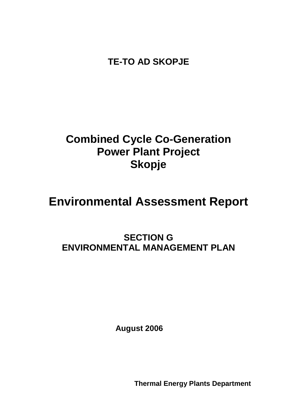**TE-TO AD SKOPJE**

## **Combined Cycle Co-Generation Power Plant Project Skopje**

# **Environmental Assessment Report**

## **SECTION G ENVIRONMENTAL MANAGEMENT PLAN**

**August 2006**

**Thermal Energy Plants Department**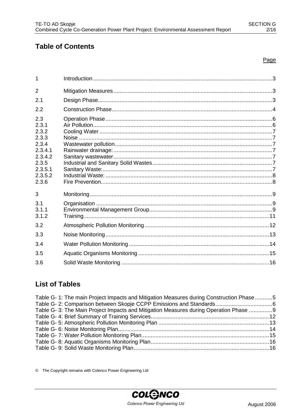## **Table of Contents**

#### Page

| 1                                                                                                     |  |
|-------------------------------------------------------------------------------------------------------|--|
| $\overline{2}$                                                                                        |  |
| 2.1                                                                                                   |  |
| 2.2                                                                                                   |  |
| 2.3<br>2.3.1<br>2.3.2<br>2.3.3<br>2.3.4<br>2.3.4.1<br>2.3.4.2<br>2.3.5<br>2.3.5.1<br>2.3.5.2<br>2.3.6 |  |
| 3                                                                                                     |  |
| 3.1<br>3.1.1<br>3.1.2                                                                                 |  |
| 3.2                                                                                                   |  |
| 3.3                                                                                                   |  |
| 3.4                                                                                                   |  |
| 3.5                                                                                                   |  |
| 3.6                                                                                                   |  |

## **List of Tables**

| Table G- 1: The main Project Impacts and Mitigation Measures during Construction Phase 5 |  |
|------------------------------------------------------------------------------------------|--|
|                                                                                          |  |
| Table G- 3: The Main Project Impacts and Mitigation Measures during Operation Phase 9    |  |
|                                                                                          |  |
|                                                                                          |  |
|                                                                                          |  |
|                                                                                          |  |
|                                                                                          |  |
|                                                                                          |  |

© The Copyright remains with Colenco Power Engineering Ltd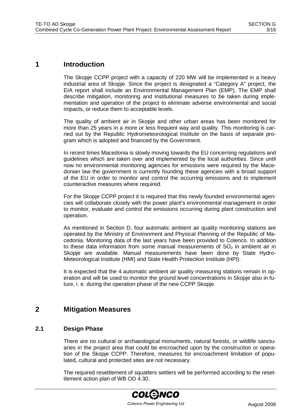#### **1 Introduction**

The Skopje CCPP project with a capacity of 220 MW will be implemented in a heavy industrial area of Skopje. Since the project is designated a "Category A" project, the EIA report shall include an Environmental Management Plan (EMP). The EMP shall describe mitigation, monitoring and institutional measures to be taken during implementation and operation of the project to eliminate adverse environmental and social impacts, or reduce them to acceptable levels.

The quality of ambient air in Skopje and other urban areas has been monitored for more than 25 years in a more or less frequent way and quality. This monitoring is carried out by the Republic Hydrometeorological Institute on the basis of separate program which is adopted and financed by the Government.

In recent times Macedonia is slowly moving towards the EU concerning regulations and guidelines which are taken over and implemented by the local authorities. Since until now no environmental monitoring agencies for emissions were required by the Macedonian law the government is currently founding these agencies with a broad support of the EU in order to monitor and control the occurring emissions and to implement counteractive measures where required.

For the Skopje CCPP project it is required that this newly founded environmental agencies will collaborate closely with the power plant's environmental management in order to monitor, evaluate and control the emissions occurring during plant construction and operation.

As mentioned in Section D, four automatic ambient air quality monitoring stations are operated by the Ministry of Environment and Physical Planning of the Republic of Macedonia. Monitoring data of the last years have been provided to Colenco. In addition to these data information from some manual measurements of  $SO<sub>2</sub>$  in ambient air in Skopje are available. Manual measurements have been done by State Hydro-Meteorological Institute (HMI) and State Health Protection Institute (HPI).

It is expected that the 4 automatic ambient air quality measuring stations remain in operation and will be used to monitor the ground level concentrations in Skopje also in future, i. e. during the operation phase of the new CCPP Skopje.

### **2 Mitigation Measures**

#### **2.1 Design Phase**

There are no cultural or archaeological monuments, natural forests, or wildlife sanctuaries in the project area that could be encroached upon by the construction or operation of the Skopje CCPP. Therefore, measures for encroachment limitation of populated, cultural and protected sites are not necessary.

The required resettlement of squatters settlers will be performed according to the resettlement action plan of WB OD 4.30.

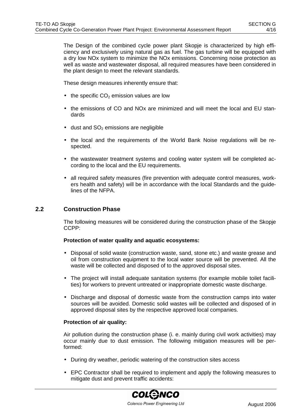The Design of the combined cycle power plant Skopje is characterized by high efficiency and exclusively using natural gas as fuel. The gas turbine will be equipped with a dry low NOx system to minimize the NOx emissions. Concerning noise protection as well as waste and wastewater disposal, all required measures have been considered in the plant design to meet the relevant standards.

These design measures inherently ensure that:

- $\bullet$  the specific CO<sub>2</sub> emission values are low
- the emissions of CO and NOx are minimized and will meet the local and EU standards
- $\bullet$  dust and  $SO<sub>2</sub>$  emissions are negligible
- the local and the requirements of the World Bank Noise regulations will be respected.
- the wastewater treatment systems and cooling water system will be completed according to the local and the EU requirements.
- all required safety measures (fire prevention with adequate control measures, workers health and safety) will be in accordance with the local Standards and the guidelines of the NFPA.

#### **2.2 Construction Phase**

The following measures will be considered during the construction phase of the Skopje CCPP:

#### **Protection of water quality and aquatic ecosystems:**

- Disposal of solid waste (construction waste, sand, stone etc.) and waste grease and oil from construction equipment to the local water source will be prevented. All the waste will be collected and disposed of to the approved disposal sites.
- The project will install adequate sanitation systems (for example mobile toilet facilities) for workers to prevent untreated or inappropriate domestic waste discharge.
- Discharge and disposal of domestic waste from the construction camps into water sources will be avoided. Domestic solid wastes will be collected and disposed of in approved disposal sites by the respective approved local companies.

#### **Protection of air quality:**

Air pollution during the construction phase (i. e. mainly during civil work activities) may occur mainly due to dust emission. The following mitigation measures will be performed:

- During dry weather, periodic watering of the construction sites access
- EPC Contractor shall be required to implement and apply the following measures to mitigate dust and prevent traffic accidents: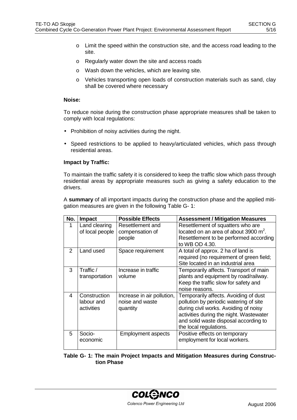- o Limit the speed within the construction site, and the access road leading to the site.
- o Regularly water down the site and access roads
- o Wash down the vehicles, which are leaving site.
- o Vehicles transporting open loads of construction materials such as sand, clay shall be covered where necessary

#### **Noise:**

To reduce noise during the construction phase appropriate measures shall be taken to comply with local regulations:

- Prohibition of noisy activities during the night.
- Speed restrictions to be applied to heavy/articulated vehicles, which pass through residential areas.

#### **Impact by Traffic:**

To maintain the traffic safety it is considered to keep the traffic slow which pass through residential areas by appropriate measures such as giving a safety education to the drivers.

A **summary** of all important impacts during the construction phase and the applied mitigation measures are given in the following Table G- 1:

| No.           | <b>Impact</b>                            | <b>Possible Effects</b>                                   | <b>Assessment / Mitigation Measures</b>                                                                                                                                                                                                |
|---------------|------------------------------------------|-----------------------------------------------------------|----------------------------------------------------------------------------------------------------------------------------------------------------------------------------------------------------------------------------------------|
| 1             | Land clearing<br>of local people         | Resettlement and<br>compensation of<br>people             | Resettlement of squatters who are<br>located on an area of about 3900 $m^2$ .<br>Resettlement to be performed according<br>to WB OD 4.30.                                                                                              |
| $\mathcal{P}$ | Land used                                | Space requirement                                         | A total of approx. 2 ha of land is<br>required (no requirement of green field;<br>Site located in an industrial area                                                                                                                   |
| 3             | Traffic/<br>transportation               | Increase in traffic<br>volume                             | Temporarily affects. Transport of main<br>plants and equipment by road/railway.<br>Keep the traffic slow for safety and<br>noise reasons.                                                                                              |
| Δ             | Construction<br>labour and<br>activities | Increase in air pollution,<br>noise and waste<br>quantity | Temporarily affects. Avoiding of dust<br>pollution by periodic watering of site<br>during civil works. Avoiding of noisy<br>activities during the night. Wastewater<br>and solid waste disposal according to<br>the local regulations. |
| 5             | Socio-<br>economic                       | <b>Employment aspects</b>                                 | Positive effects on temporary<br>employment for local workers.                                                                                                                                                                         |

#### **Table G- 1: The main Project Impacts and Mitigation Measures during Construction Phase**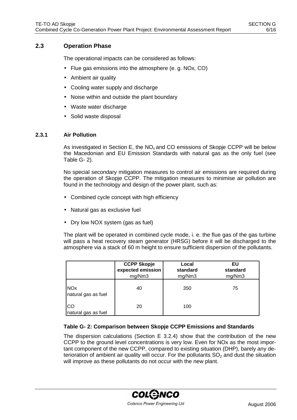#### **2.3 Operation Phase**

The operational impacts can be considered as follows:

- Flue gas emissions into the atmosphere (e. g. NOx, CO)
- Ambient air quality
- Cooling water supply and discharge
- Noise within and outside the plant boundary
- Waste water discharge
- Solid waste disposal

#### **2.3.1 Air Pollution**

As investigated in Section E, the  $NO<sub>x</sub>$  and CO emissions of Skopje CCPP will be below the Macedonian and EU Emission Standards with natural gas as the only fuel (see Table G- 2).

No special secondary mitigation measures to control air emissions are required during the operation of Skopje CCPP. The mitigation measures to minimise air pollution are found in the technology and design of the power plant, such as:

- Combined cycle concept with high efficiency
- Natural gas as exclusive fuel
- Dry low NOX system (gas as fuel)

The plant will be operated in combined cycle mode, i. e. the flue gas of the gas turbine will pass a heat recovery steam generator (HRSG) before it will be discharged to the atmosphere via a stack of 60 m height to ensure sufficient dispersion of the pollutants.

|                                   | <b>CCPP Skopje</b><br>expected emission<br>mg/Nm3 | Local<br>standard<br>mg/Nm3 | EU<br>standard<br>mg/Nm3 |
|-----------------------------------|---------------------------------------------------|-----------------------------|--------------------------|
| <b>NOx</b><br>natural gas as fuel | 40                                                | 350                         | 75                       |
| ICO<br>natural gas as fuel        | 20                                                | 100                         |                          |

#### **Table G- 2: Comparison between Skopje CCPP Emissions and Standards**

The dispersion calculations (Section E 3.2.4) show that the contribution of the new CCPP to the ground level concentrations is very low. Even for NOx as the most important component of the new CCPP, compared to existing situation (DHP), barely any deterioration of ambient air quality will occur. For the pollutants  $SO<sub>2</sub>$  and dust the situation will improve as these pollutants do not occur with the new plant.

> **COLGNCO** Colenco Power Engineering Ltd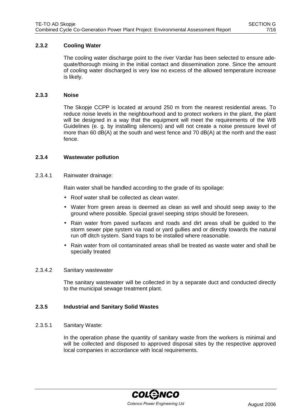#### **2.3.2 Cooling Water**

The cooling water discharge point to the river Vardar has been selected to ensure adequate/thorough mixing in the initial contact and dissemination zone. Since the amount of cooling water discharged is very low no excess of the allowed temperature increase is likely.

#### **2.3.3 Noise**

The Skopje CCPP is located at around 250 m from the nearest residential areas. To reduce noise levels in the neighbourhood and to protect workers in the plant, the plant will be designed in a way that the equipment will meet the requirements of the WB Guidelines (e. g. by installing silencers) and will not create a noise pressure level of more than 60 dB(A) at the south and west fence and 70 dB(A) at the north and the east fence.

#### **2.3.4 Wastewater pollution**

#### 2.3.4.1 Rainwater drainage:

Rain water shall be handled according to the grade of its spoilage:

- Roof water shall be collected as clean water.
- Water from green areas is deemed as clean as well and should seep away to the ground where possible. Special gravel seeping strips should be foreseen.
- Rain water from paved surfaces and roads and dirt areas shall be guided to the storm sewer pipe system via road or yard gullies and or directly towards the natural run off ditch system. Sand traps to be installed where reasonable.
- Rain water from oil contaminated areas shall be treated as waste water and shall be specially treated

#### 2.3.4.2 Sanitary wastewater

The sanitary wastewater will be collected in by a separate duct and conducted directly to the municipal sewage treatment plant.

#### **2.3.5 Industrial and Sanitary Solid Wastes**

#### 2.3.5.1 Sanitary Waste:

In the operation phase the quantity of sanitary waste from the workers is minimal and will be collected and disposed to approved disposal sites by the respective approved local companies in accordance with local requirements.

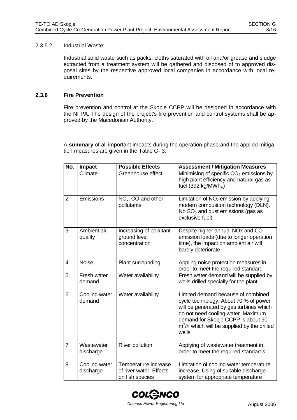#### 2.3.5.2 Industrial Waste:

Industrial solid waste such as packs, cloths saturated with oil and/or grease and sludge extracted from a treatment system will be gathered and disposed of to approved disposal sites by the respective approved local companies in accordance with local requirements.

#### **2.3.6 Fire Prevention**

Fire prevention and control at the Skopje CCPP will be designed in accordance with the NFPA. The design of the project's fire prevention and control systems shall be approved by the Macedonian Authority.

A **summary** of all important impacts during the operation phase and the applied mitigation measures are given in the Table G- 3:

| No.            | Impact                     | <b>Possible Effects</b>                                            | <b>Assessment / Mitigation Measures</b>                                                                                                                                                                                                                     |
|----------------|----------------------------|--------------------------------------------------------------------|-------------------------------------------------------------------------------------------------------------------------------------------------------------------------------------------------------------------------------------------------------------|
| 1              | Climate                    | Greenhouse effect                                                  | Minimising of specific CO <sub>2</sub> emissions by<br>high plant efficiency and natural gas as<br>fuel (392 kg/MWh <sub>el</sub> )                                                                                                                         |
| $\overline{2}$ | Emissions                  | $NOx$ , CO and other<br>pollutants                                 | Limitation of $NOx$ emission by applying<br>modern combustion technology (DLN).<br>No $SO2$ and dust emissions (gas as<br>exclusive fuel)                                                                                                                   |
| 3              | Ambient air<br>quality     | Increasing of pollutant<br>ground level<br>concentration           | Despite higher annual NOx and CO<br>emission loads (due to longer operation<br>time), the impact on ambient air will<br>barely deteriorate                                                                                                                  |
| 4              | <b>Noise</b>               | Plant surrounding                                                  | Appling noise protection measures in<br>order to meet the required standard                                                                                                                                                                                 |
| 5              | Fresh water<br>demand      | Water availability                                                 | Fresh water demand will be supplied by<br>wells drilled specially for the plant                                                                                                                                                                             |
| 6              | Cooling water<br>demand    | Water availability                                                 | Limited demand because of combined<br>cycle technology. About 70 % of power<br>will be generated by gas turbines which<br>do not need cooling water. Maximum<br>demand for Skopje CCPP is about 90<br>$m3/h$ which will be supplied by the drilled<br>wells |
| $\overline{7}$ | Wastewater<br>discharge    | <b>River pollution</b>                                             | Applying of wastewater treatment in<br>order to meet the required standards                                                                                                                                                                                 |
| 8              | Cooling water<br>discharge | Temperature increase<br>of river water. Effects<br>on fish species | Limitation of cooling water temperature<br>increase. Using of suitable discharge<br>system for appropriate temperature                                                                                                                                      |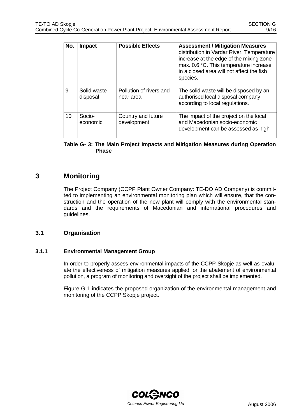| No. | <b>Impact</b>           | <b>Possible Effects</b>              | <b>Assessment / Mitigation Measures</b>                                                                                                                                                 |
|-----|-------------------------|--------------------------------------|-----------------------------------------------------------------------------------------------------------------------------------------------------------------------------------------|
|     |                         |                                      | distribution in Vardar River. Temperature<br>increase at the edge of the mixing zone<br>max. 0.6 °C. This temperature increase<br>in a closed area will not affect the fish<br>species. |
| 9   | Solid waste<br>disposal | Pollution of rivers and<br>near area | The solid waste will be disposed by an<br>authorised local disposal company<br>according to local regulations.                                                                          |
| 10  | Socio-<br>economic      | Country and future<br>development    | The impact of the project on the local<br>and Macedonian socio-economic<br>development can be assessed as high                                                                          |

#### **Table G- 3: The Main Project Impacts and Mitigation Measures during Operation Phase**

### **3 Monitoring**

The Project Company (CCPP Plant Owner Company: TE-DO AD Company) is committed to implementing an environmental monitoring plan which will ensure, that the construction and the operation of the new plant will comply with the environmental standards and the requirements of Macedonian and international procedures and guidelines.

#### **3.1 Organisation**

#### **3.1.1 Environmental Management Group**

In order to properly assess environmental impacts of the CCPP Skopje as well as evaluate the effectiveness of mitigation measures applied for the abatement of environmental pollution, a program of monitoring and oversight of the project shall be implemented.

Figure G-1 indicates the proposed organization of the environmental management and monitoring of the CCPP Skopje project.

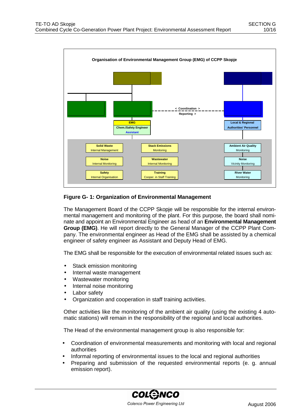

#### **Figure G- 1: Organization of Environmental Management**

The Management Board of the CCPP Skopje will be responsible for the internal environmental management and monitoring of the plant. For this purpose, the board shall nominate and appoint an Environmental Engineer as head of an **Environmental Management Group (EMG)**. He will report directly to the General Manager of the CCPP Plant Company. The environmental engineer as Head of the EMG shall be assisted by a chemical engineer of safety engineer as Assistant and Deputy Head of EMG.

The EMG shall be responsible for the execution of environmental related issues such as:

- Stack emission monitoring
- Internal waste management
- Wastewater monitoring
- Internal noise monitoring
- Labor safety
- Organization and cooperation in staff training activities.

Other activities like the monitoring of the ambient air quality (using the existing 4 automatic stations) will remain in the responsibility of the regional and local authorities.

The Head of the environmental management group is also responsible for:

- Coordination of environmental measurements and monitoring with local and regional authorities
- Informal reporting of environmental issues to the local and regional authorities
- Preparing and submission of the requested environmental reports (e. g. annual emission report).

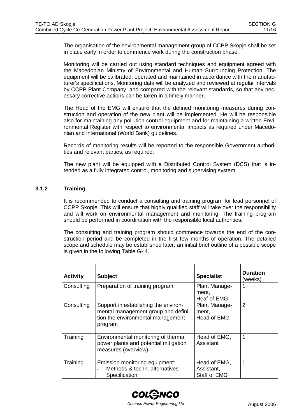The organisation of the environmental management group of CCPP Skopje shall be set in place early in order to commence work during the construction phase.

Monitoring will be carried out using standard techniques and equipment agreed with the Macedonian Ministry of Environmental and Human Surrounding Protection. The equipment will be calibrated, operated and maintained in accordance with the manufacturer's specifications. Monitoring data will be analyzed and reviewed at regular intervals by CCPP Plant Company, and compared with the relevant standards, so that any necessary corrective actions can be taken in a timely manner.

The Head of the EMG will ensure that the defined monitoring measures during construction and operation of the new plant will be implemented. He will be responsible also for maintaining any pollution control equipment and for maintaining a written Environmental Register with respect to environmental impacts as required under Macedonian and international (World Bank) guidelines.

Records of monitoring results will be reported to the responsible Government authorities and relevant parties, as required.

The new plant will be equipped with a Distributed Control System (DCS) that is intended as a fully integrated control, monitoring and supervising system.

#### **3.1.2 Training**

It is recommended to conduct a consulting and training program for lead personnel of CCPP Skopje. This will ensure that highly qualified staff will take over the responsibility and will work on environmental management and monitoring. The training program should be performed in coordination with the responsible local authorities.

The consulting and training program should commence towards the end of the construction period and be completed in the first few months of operation. The detailed scope and schedule may be established later, an initial brief outline of a possible scope is given in the following Table G- 4.

| <b>Activity</b> | <b>Subject</b>                                                                                                              | <b>Specialist</b>                                 | <b>Duration</b><br>(weeks) |
|-----------------|-----------------------------------------------------------------------------------------------------------------------------|---------------------------------------------------|----------------------------|
| Consulting      | Preparation of training program                                                                                             | Plant Manage-<br>ment,<br>Heaf of EMG             |                            |
| Consulting      | Support in establishing the environ-<br>mental management group and defini-<br>tion the environmental management<br>program | Plant Manage-<br>ment,<br>Head of EMG             | 2                          |
| Training        | Environmental monitoring of thermal<br>power plants and potential mitigation<br>measures (overview)                         | Head of EMG,<br>Assistant                         | 1                          |
| Training        | Emission monitoring equipment:<br>Methods & techn, alternatives<br>Specification                                            | Head of EMG,<br>Assistant,<br><b>Staff of EMG</b> | 1                          |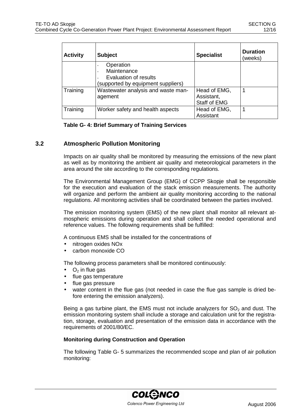| <b>Activity</b> | <b>Subject</b>                                    | <b>Specialist</b>                                 | <b>Duration</b><br>(weeks) |
|-----------------|---------------------------------------------------|---------------------------------------------------|----------------------------|
|                 | Operation<br>Maintenance<br>Evaluation of results |                                                   |                            |
|                 | (supported by equipment suppliers)                |                                                   |                            |
| Training        | Wastewater analysis and waste man-<br>agement     | Head of EMG,<br>Assistant,<br><b>Staff of EMG</b> |                            |
| Training        | Worker safety and health aspects                  | Head of EMG,<br>Assistant                         |                            |

#### **Table G- 4: Brief Summary of Training Services**

#### **3.2 Atmospheric Pollution Monitoring**

Impacts on air quality shall be monitored by measuring the emissions of the new plant as well as by monitoring the ambient air quality and meteorological parameters in the area around the site according to the corresponding regulations.

The Environmental Management Group (EMG) of CCPP Skopje shall be responsible for the execution and evaluation of the stack emission measurements. The authority will organize and perform the ambient air quality monitoring according to the national regulations. All monitoring activities shall be coordinated between the parties involved.

The emission monitoring system (EMS) of the new plant shall monitor all relevant atmospheric emissions during operation and shall collect the needed operational and reference values. The following requirements shall be fulfilled:

A continuous EMS shall be installed for the concentrations of

- nitrogen oxides NOx
- carbon monoxide CO

The following process parameters shall be monitored continuously:

- $O<sub>2</sub>$  in flue gas
- flue gas temperature
- flue gas pressure
- water content in the flue gas (not needed in case the flue gas sample is dried before entering the emission analyzers).

Being a gas turbine plant, the EMS must not include analyzers for  $SO<sub>2</sub>$  and dust. The emission monitoring system shall include a storage and calculation unit for the registration, storage, evaluation and presentation of the emission data in accordance with the requirements of 2001/80/EC.

#### **Monitoring during Construction and Operation**

The following Table G- 5 summarizes the recommended scope and plan of air pollution monitoring:

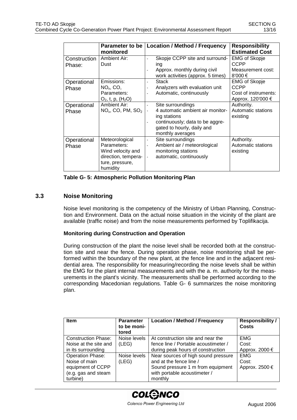|                      | monitored                                                                                                | Parameter to be   Location / Method / Frequency                                                                                                            | <b>Responsibility</b><br><b>Estimated Cost</b>                            |
|----------------------|----------------------------------------------------------------------------------------------------------|------------------------------------------------------------------------------------------------------------------------------------------------------------|---------------------------------------------------------------------------|
| Construction         | Ambient Air:<br>Dust                                                                                     | Skopje CCPP site and surround-                                                                                                                             | <b>EMG of Skopje</b><br><b>CCPP</b>                                       |
| Phase:               |                                                                                                          | ing<br>Approx. monthly during civil<br>work activities (approx. 5 times)                                                                                   | Measurement cost:<br>8'000 $\xi$                                          |
| Operational<br>Phase | Emissions:<br>$NOx$ , CO,<br>Parameters:<br>$O_2$ , t, p, $(H_2O)$                                       | <b>Stack</b><br>Analyzers with evaluation unit<br>Automatic, continuously                                                                                  | <b>EMG of Skopje</b><br>CCPP<br>Cost of instruments:<br>Approx. 120'000 € |
| Operational<br>Phase | Ambient Air:<br>$NOx$ , CO, PM, SO <sub>2</sub>                                                          | Site surroundings<br>4 automatic ambient air monitor-<br>ing stations<br>continuously; data to be aggre-<br>gated to hourly, daily and<br>monthly averages | Authority.<br>Automatic stations<br>existing                              |
| Operational<br>Phase | Meteorological<br>Parameters:<br>Wind velocity and<br>direction, tempera-<br>ture, pressure,<br>humidity | Site surroundings<br>Ambient air / meteorological<br>monitoring stations<br>automatic, continuously<br>$\blacksquare$                                      | Authority.<br>Automatic stations<br>existing                              |

**Table G- 5: Atmospheric Pollution Monitoring Plan**

#### **3.3 Noise Monitoring**

Noise level monitoring is the competency of the Ministry of Urban Planning, Construction and Environment. Data on the actual noise situation in the vicinity of the plant are available (traffic noise) and from the noise measurements performed by Toplifikacija.

#### **Monitoring during Construction and Operation**

During construction of the plant the noise level shall be recorded both at the construction site and near the fence. During operation phase, noise monitoring shall be performed within the boundary of the new plant, at the fence line and in the adjacent residential area. The responsibility for measuring/recording the noise levels shall be within the EMG for the plant internal measurements and with the a. m. authority for the measurements in the plant's vicinity. The measurements shall be performed according to the corresponding Macedonian regulations. Table G- 6 summarizes the noise monitoring plan.

| <b>Item</b>                | <b>Parameter</b><br>to be moni-<br>tored | <b>Location / Method / Frequency</b> | <b>Responsibility /</b><br>Costs |
|----------------------------|------------------------------------------|--------------------------------------|----------------------------------|
| <b>Construction Phase:</b> | Noise levels                             | At construction site and near the    | <b>EMG</b>                       |
| Noise at the site and      | (LEG)                                    | fence line / Portable acoustimeter / | Cost:                            |
| in its surrounding         |                                          | during peak hours of construction    | Approx. 2000 $\epsilon$          |
| <b>Operation Phase:</b>    | Noise levels                             | Near sources of high sound pressure  | <b>EMG</b>                       |
| Noise of main              | (LEG)                                    | and at the fence line /              | Cost:                            |
| equipment of CCPP          |                                          | Sound pressure 1 m from equipment    | Approx. 2500 $\epsilon$          |
| (e.g. gas and steam        |                                          | with portable acoustimeter /         |                                  |
| turbine)                   |                                          | monthly                              |                                  |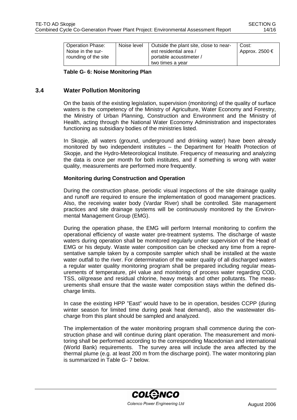| <b>Operation Phase:</b><br>Noise in the sur-<br>rounding of the site | Noise level | Outside the plant site, close to near-<br>est residential area /<br>portable acoustimeter / | Cost:<br>Approx. 2500 $\epsilon$ |
|----------------------------------------------------------------------|-------------|---------------------------------------------------------------------------------------------|----------------------------------|
|                                                                      |             | two times a vear                                                                            |                                  |

**Table G- 6: Noise Monitoring Plan**

#### **3.4 Water Pollution Monitoring**

On the basis of the existing legislation, supervision (monitoring) of the quality of surface waters is the competency of the Ministry of Agriculture, Water Economy and Forestry, the Ministry of Urban Planning, Construction and Environment and the Ministry of Health, acting through the National Water Economy Administration and inspectorates functioning as subsidiary bodies of the ministries listed.

In Skopje, all waters (ground, underground and drinking water) have been already monitored by two independent institutes – the Department for Health Protection of Skopje, and the Hydro-Meteorological Institute. Frequency of measuring and analyzing the data is once per month for both institutes, and if something is wrong with water quality, measurements are performed more frequently.

#### **Monitoring during Construction and Operation**

During the construction phase, periodic visual inspections of the site drainage quality and runoff are required to ensure the implementation of good management practices. Also, the receiving water body (Vardar River) shall be controlled. Site management practices and site drainage systems will be continuously monitored by the Environmental Management Group (EMG).

During the operation phase, the EMG will perform Internal monitoring to confirm the operational efficiency of waste water pre-treatment systems. The discharge of waste waters during operation shall be monitored regularly under supervision of the Head of EMG or his deputy. Waste water composition can be checked any time from a representative sample taken by a composite sampler which shall be installed at the waste water outfall to the river. For determination of the water quality of all discharged waters a regular water quality monitoring program shall be prepared including regular measurements of temperature, pH value and monitoring of process water regarding COD, TSS, oil/grease and residual chlorine, heavy metals and other pollutants. The measurements shall ensure that the waste water composition stays within the defined discharge limits.

In case the existing HPP "East" would have to be in operation, besides CCPP (during winter season for limited time during peak heat demand), also the wastewater discharge from this plant should be sampled and analyzed.

The implementation of the water monitoring program shall commence during the construction phase and will continue during plant operation. The measurement and monitoring shall be performed according to the corresponding Macedonian and international (World Bank) requirements. The survey area will include the area affected by the thermal plume (e.g. at least 200 m from the discharge point). The water monitoring plan is summarized in Table G- 7 below.

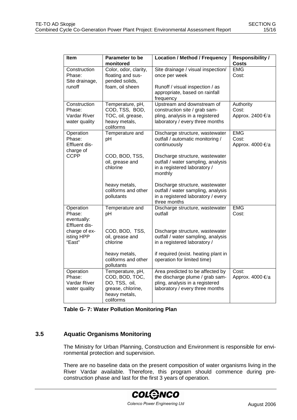| Item                                                    | Parameter to be<br>monitored                                                                           | <b>Location / Method / Frequency</b>                                                                                                      | <b>Responsibility /</b><br><b>Costs</b> |
|---------------------------------------------------------|--------------------------------------------------------------------------------------------------------|-------------------------------------------------------------------------------------------------------------------------------------------|-----------------------------------------|
| Construction<br>Phase:<br>Site drainage,<br>runoff      | Color, odor, clarity,<br>floating and sus-<br>pended solids,<br>foam, oil sheen                        | Site drainage / visual inspection/<br>once per week<br>Runoff / visual inspection / as<br>appropriate, based on rainfall<br>frequency     | <b>EMG</b><br>Cost:                     |
| Construction<br>Phase:<br>Vardar River<br>water quality | Temperature, pH,<br>COD, TSS, BOD,<br>TOC, oil, grease,<br>heavy metals,<br>coliforms                  | Upstream and downstream of<br>construction site / grab sam-<br>pling, analysis in a registered<br>laboratory / every three months         | Authority<br>Cost:<br>Approx. 2400 €/a  |
| Operation<br>Phase:<br>Effluent dis-<br>charge of       | Temperature and<br>pH                                                                                  | Discharge structure, wastewater<br>outfall / automatic monitoring /<br>continuously                                                       | <b>EMG</b><br>Cost:<br>Approx. 4000 €/a |
| <b>CCPP</b>                                             | COD, BOD, TSS,<br>oil, grease and<br>chlorine                                                          | Discharge structure, wastewater<br>outfall / water sampling, analysis<br>in a registered laboratory /<br>monthly                          |                                         |
|                                                         | heavy metals,<br>coliforms and other<br>pollutants                                                     | Discharge structure, wastewater<br>outfall / water sampling, analysis<br>in a registered laboratory / every<br>three months               |                                         |
| Operation<br>Phase:<br>eventually:<br>Effluent dis-     | Temperature and<br>pH                                                                                  | Discharge structure, wastewater<br>outfall                                                                                                | <b>EMG</b><br>Cost:                     |
| charge of ex-<br>isting HPP<br>"East"                   | COD, BOD, TSS,<br>oil, grease and<br>chlorine                                                          | Discharge structure, wastewater<br>outfall / water sampling, analysis<br>in a registered laboratory /                                     |                                         |
|                                                         | heavy metals,<br>coliforms and other<br>pollutants                                                     | if required (exist. heating plant in<br>operation for limited time)                                                                       |                                         |
| Operation<br>Phase:<br>Vardar River<br>water quality    | Temperature, pH,<br>COD, BOD, TOC,<br>DO, TSS, oil,<br>grease, chlorine,<br>heavy metals,<br>coliforms | Area predicted to be affected by<br>the discharge plume / grab sam-<br>pling, analysis in a registered<br>laboratory / every three months | Cost:<br>Approx. 4000 €/a               |

**Table G- 7: Water Pollution Monitoring Plan**

#### **3.5 Aquatic Organisms Monitoring**

The Ministry for Urban Planning, Construction and Environment is responsible for environmental protection and supervision.

There are no baseline data on the present composition of water organisms living in the River Vardar available. Therefore, this program should commence during preconstruction phase and last for the first 3 years of operation.